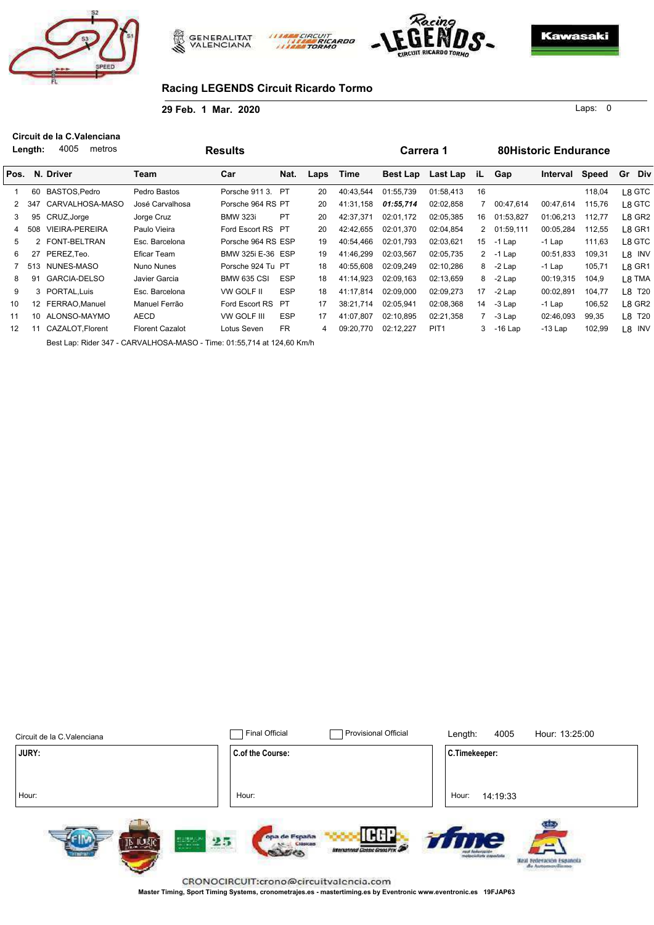





#### **Racing LEGENDS Circuit Ricardo Tormo**

**29 Feb. 1 Mar. 2020**

**Length:**  $m \cdot$ **Circuit de la C.Valenciana** 4005

0 Laps:

|      | Length: | 4005<br>metros                                                         |                        | <b>Results</b>     |            |      |           | Carrera 1       |                  |    |             | <b>80Historic Endurance</b> |              |           |
|------|---------|------------------------------------------------------------------------|------------------------|--------------------|------------|------|-----------|-----------------|------------------|----|-------------|-----------------------------|--------------|-----------|
| Pos. |         | N. Driver                                                              | Team                   | Car                | Nat.       | Laps | Time      | <b>Best Lap</b> | Last Lap         | iL | Gap         | Interval                    | <b>Speed</b> | Gr<br>Div |
|      | 60      | BASTOS, Pedro                                                          | Pedro Bastos           | Porsche 911 3.     | <b>PT</b>  | 20   | 40:43,544 | 01:55,739       | 01:58,413        | 16 |             |                             | 118,04       | L8 GTC    |
|      | 347     | CARVALHOSA-MASO                                                        | José Carvalhosa        | Porsche 964 RS PT  |            | 20   | 41:31,158 | 01:55,714       | 02:02.858        |    | 00:47,614   | 00:47,614                   | 115,76       | L8 GTC    |
| 3    | 95      | CRUZ, Jorge                                                            | Jorge Cruz             | <b>BMW 323i</b>    | PT         | 20   | 42:37,371 | 02:01,172       | 02:05,385        | 16 | 01:53,827   | 01:06,213                   | 112,77       | L8 GR2    |
| 4    | 508     | <b>VIEIRA-PEREIRA</b>                                                  | Paulo Vieira           | Ford Escort RS PT  |            | 20   | 42:42,655 | 02:01,370       | 02:04.854        |    | 2 01:59,111 | 00:05,284                   | 112,55       | L8 GR1    |
| 5    |         | 2 FONT-BELTRAN                                                         | Esc. Barcelona         | Porsche 964 RS ESP |            | 19   | 40:54.466 | 02:01.793       | 02:03,621        | 15 | -1 Lap      | $-1$ Lap                    | 111,63       | L8 GTC    |
| 6    | 27      | PEREZ.Teo.                                                             | Eficar Team            | BMW 325i E-36 ESP  |            | 19   | 41:46,299 | 02:03.567       | 02:05,735        |    | $2 - 1$ Lap | 00:51,833                   | 109,31       | L8 INV    |
|      |         | 513 NUNES-MASO                                                         | Nuno Nunes             | Porsche 924 Tu PT  |            | 18   | 40:55,608 | 02:09.249       | 02:10,286        |    | $8 - 2$ Lap | -1 Lap                      | 105,71       | L8 GR1    |
| 8    | 91      | <b>GARCIA-DELSO</b>                                                    | Javier Garcia          | <b>BMW 635 CSI</b> | <b>ESP</b> | 18   | 41:14,923 | 02:09.163       | 02:13,659        | 8  | -2 Lap      | 00:19,315                   | 104,9        | L8 TMA    |
| 9    |         | 3 PORTAL.Luis                                                          | Esc. Barcelona         | VW GOLF II         | <b>ESP</b> | 18   | 41:17,814 | 02:09.000       | 02:09,273        | 17 | $-2$ Lap    | 00:02,891                   | 104,77       | L8 T20    |
| 10   | 12      | FERRAO, Manuel                                                         | Manuel Ferrão          | Ford Escort RS PT  |            | 17   | 38:21,714 | 02:05,941       | 02:08,368        | 14 | -3 Lap      | -1 Lap                      | 106,52       | L8 GR2    |
| 11   | 10      | ALONSO-MAYMO                                                           | <b>AECD</b>            | VW GOLF III        | <b>ESP</b> | 17   | 41:07,807 | 02:10.895       | 02:21,358        |    | -3 Lap      | 02:46,093                   | 99,35        | L8 T20    |
| 12   | 11      | CAZALOT, Florent                                                       | <b>Florent Cazalot</b> | Lotus Seven        | <b>FR</b>  | 4    | 09:20,770 | 02:12,227       | PIT <sub>1</sub> | 3  | -16 Lap     | $-13$ Lap                   | 102,99       | L8 INV    |
|      |         | Best Lap: Rider 347 - CARVALHOSA-MASO - Time: 01:55,714 at 124,60 Km/h |                        |                    |            |      |           |                 |                  |    |             |                             |              |           |

CIRCUIT

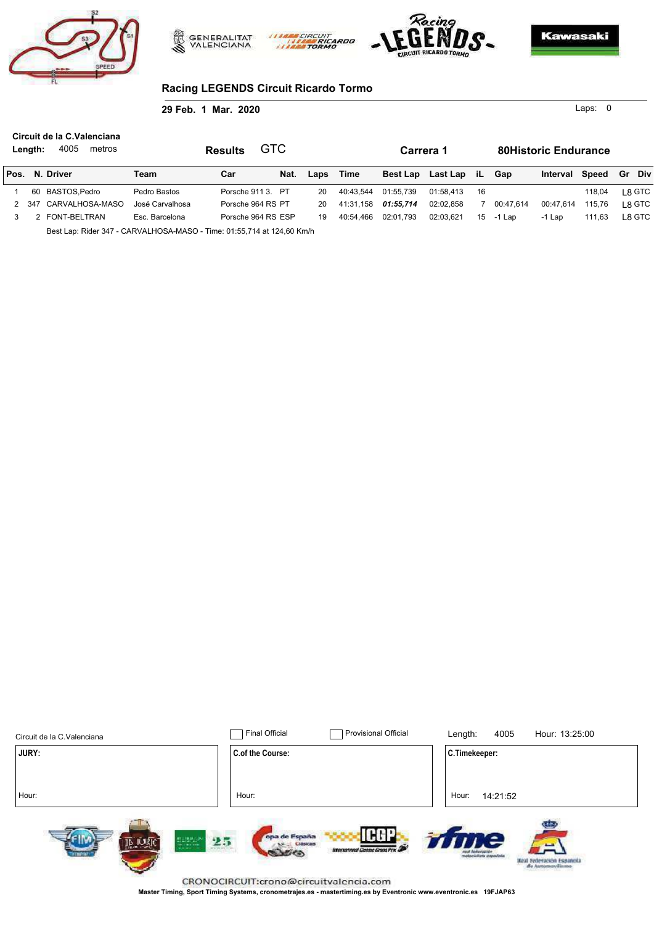





0 Laps:

#### **Racing LEGENDS Circuit Ricardo Tormo**

**29 Feb. 1 Mar. 2020**

| Length: | Circuit de la C.Valenciana<br>4005<br>metros |                 | <b>Results</b> | GTC                |      |           | Carrera 1 |                      |     |           | <b>80Historic Endurance</b> |        |         |
|---------|----------------------------------------------|-----------------|----------------|--------------------|------|-----------|-----------|----------------------|-----|-----------|-----------------------------|--------|---------|
|         | Pos. N. Driver                               | Team            | Car            | Nat.               | Laps | Time      |           | Best Lap Last Lap iL |     | Gap       | Interval Speed              |        | Gr Div  |
|         | 60 BASTOS.Pedro                              | Pedro Bastos    |                | Porsche 911 3. PT  | 20   | 40:43.544 | 01:55.739 | 01:58.413            | -16 |           |                             | 118.04 | L8 GTC  |
| 2 347   | CARVALHOSA-MASO                              | José Carvalhosa |                | Porsche 964 RS PT  | 20   | 41:31.158 | 01:55.714 | 02:02.858            |     | 00:47.614 | 00:47.614                   | 115.76 | ∣ 8 GTC |
|         | 2 FONT-BELTRAN                               | Esc. Barcelona  |                | Porsche 964 RS ESP | 19   | 40:54.466 | 02:01.793 | 02:03.621            | 15  | -1 Lap    | -1 Lap                      | 111.63 | L8 GTC  |
|         |                                              |                 |                |                    |      |           |           |                      |     |           |                             |        |         |

**CIRCUI** 

Best Lap: Rider 347 - CARVALHOSA-MASO - Time: 01:55,714 at 124,60 Km/h

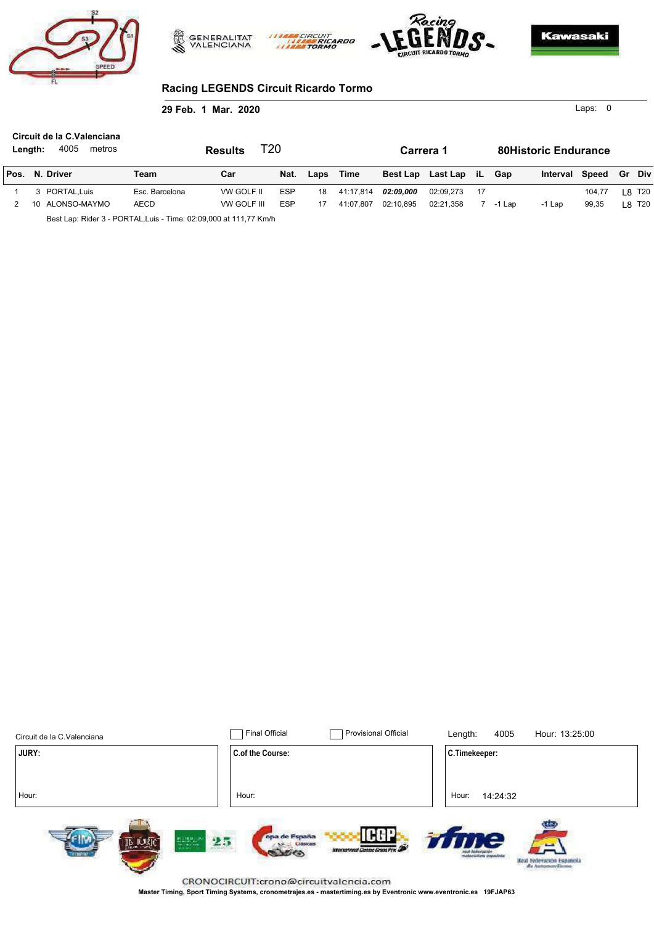





0 Laps:

## **Racing LEGENDS Circuit Ricardo Tormo**

**29 Feb. 1 Mar. 2020**

| Length: |    | Circuit de la C. Valenciana<br>4005<br>metros                     |                | T20<br><b>Results</b> |            |      |           | Carrera 1 |                      |      |        | <b>80Historic Endurance</b> |        |               |        |
|---------|----|-------------------------------------------------------------------|----------------|-----------------------|------------|------|-----------|-----------|----------------------|------|--------|-----------------------------|--------|---------------|--------|
|         |    | Pos. N. Driver                                                    | Team           | Car                   | Nat.       | Laps | Time      |           | Best Lap Last Lap iL |      | Gap    | Interval Speed              |        | <b>Gr</b> Div |        |
|         |    | 3 PORTAL.Luis                                                     | Esc. Barcelona | VW GOLF II            | ESP        | 18   | 41:17.814 | 02:09.000 | 02:09.273            | - 17 |        |                             | 104.77 |               | L8 T20 |
|         | 10 | ALONSO-MAYMO                                                      | <b>AECD</b>    | VW GOLF III           | <b>ESP</b> |      | 41:07.807 | 02:10.895 | 02:21.358            |      | -1 Lap | -1 Lap                      | 99.35  |               | L8 T20 |
|         |    | Best Lap: Rider 3 - PORTAL, Luis - Time: 02:09,000 at 111,77 Km/h |                |                       |            |      |           |           |                      |      |        |                             |        |               |        |

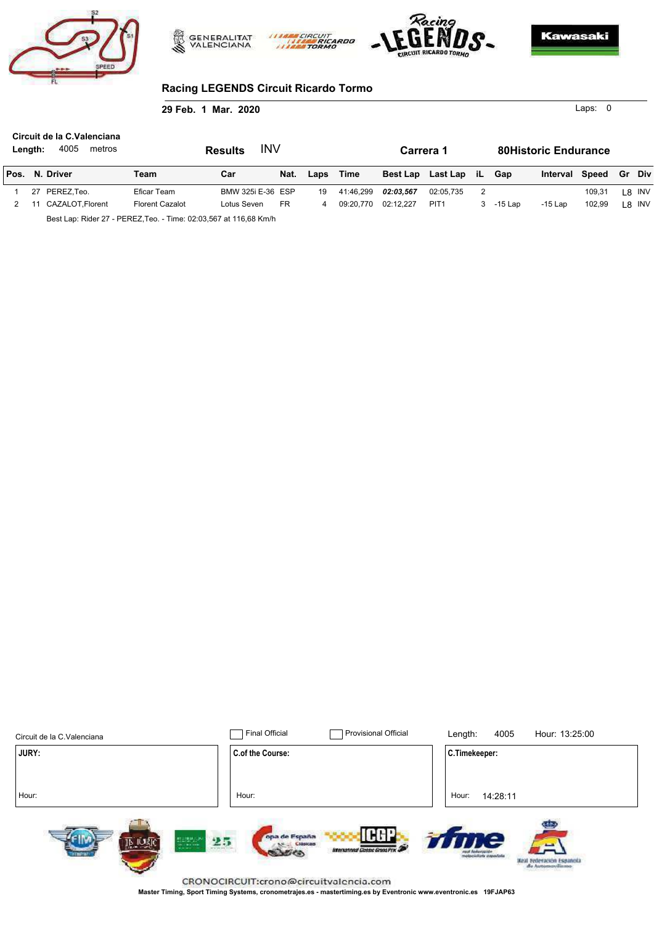





0 Laps:

### **Racing LEGENDS Circuit Ricardo Tormo**

#### **29 Feb. 1 Mar. 2020**

| Length: | Circuit de la C.Valenciana<br>4005<br>metros |                                                                     | INV<br><b>Results</b> |           |      |           | Carrera 1       |                  |   |         | <b>80Historic Endurance</b> |        |        |        |
|---------|----------------------------------------------|---------------------------------------------------------------------|-----------------------|-----------|------|-----------|-----------------|------------------|---|---------|-----------------------------|--------|--------|--------|
|         | Pos. N. Driver                               | Team                                                                | Car                   | Nat.      | Laps | Time      | <b>Best Lap</b> | Last Lap iL      |   | Gap     | Interval                    | Speed  | Gr Div |        |
| 27      | PEREZ.Teo.                                   | Eficar Team                                                         | BMW 325i E-36 ESP     |           | 19   | 41:46.299 | 02:03.567       | 02:05.735        | 2 |         |                             | 109.31 |        | L8 INV |
|         | CAZALOT.Florent                              | <b>Florent Cazalot</b>                                              | Lotus Seven           | <b>FR</b> | 4    | 09:20.770 | 02:12.227       | PIT <sub>1</sub> | 3 | -15 Lap | $-15$ Lap                   | 102.99 |        | L8 INV |
|         |                                              | Best Lap: Rider 27 - PEREZ, Teo. - Time: 02:03, 567 at 116, 68 Km/h |                       |           |      |           |                 |                  |   |         |                             |        |        |        |

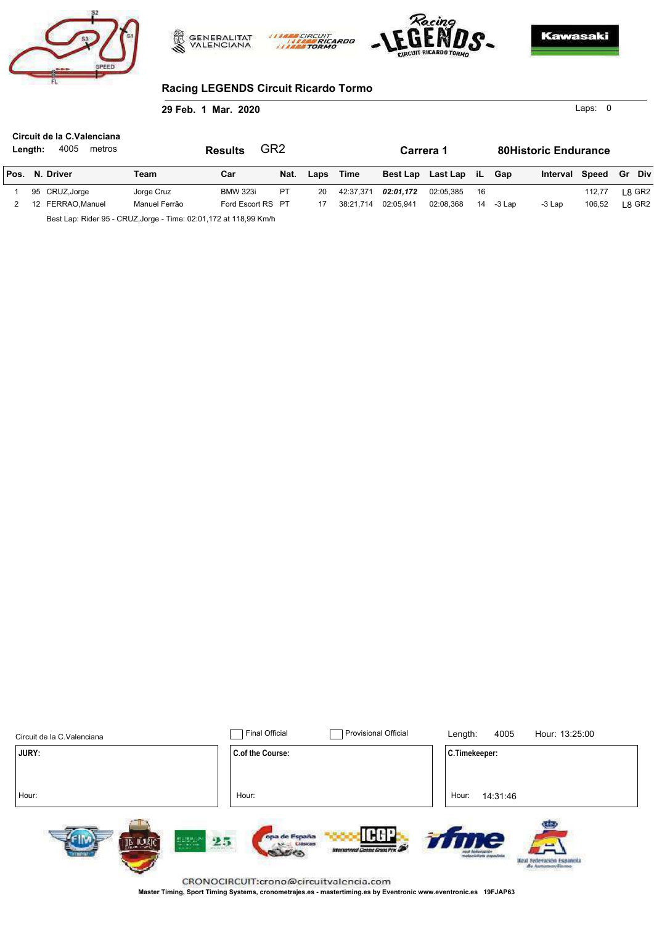





0 Laps:

## **Racing LEGENDS Circuit Ricardo Tormo**

**29 Feb. 1 Mar. 2020**

| Length: | Circuit de la C.Valenciana<br>4005<br>metros                        |               | GR <sub>2</sub><br><b>Results</b> |           |      |           | Carrera 1       |             |     |        | <b>80Historic Endurance</b> |        |        |
|---------|---------------------------------------------------------------------|---------------|-----------------------------------|-----------|------|-----------|-----------------|-------------|-----|--------|-----------------------------|--------|--------|
|         | Pos. N. Driver                                                      | Team          | Car                               | Nat.      | Laps | Time      | <b>Best Lap</b> | Last Lap iL |     | Gap    | Interval Speed              |        | Gr Div |
|         | 95 CRUZ, Jorge                                                      | Jorge Cruz    | <b>BMW 323i</b>                   | <b>PT</b> | 20   | 42:37.371 | 02:01.172       | 02:05.385   | -16 |        |                             | 112.77 | ∟8 GR2 |
| 12      | FERRAO.Manuel                                                       | Manuel Ferrão | Ford Escort RS PT                 |           |      | 38:21.714 | 02:05.941       | 02:08.368   | 14  | -3 Lap | -3 Lap                      | 106.52 | 8 GR2  |
|         | Best Lap: Rider 95 - CRUZ, Jorge - Time: 02:01, 172 at 118, 99 Km/h |               |                                   |           |      |           |                 |             |     |        |                             |        |        |

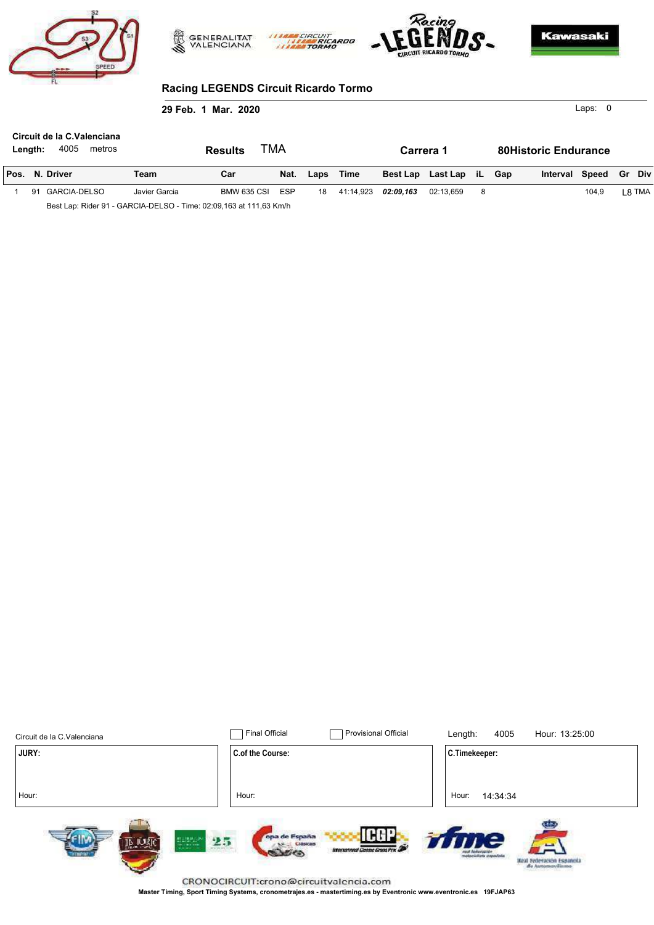





0 Laps:

#### **Racing LEGENDS Circuit Ricardo Tormo**

**29 Feb. 1 Mar. 2020**

| Length: | Circuit de la C.Valenciana<br>4005<br>metros                       |               | TMA<br><b>Results</b> |            |      |           | Carrera 1 |                          |    | <b>80Historic Endurance</b> |                       |        |
|---------|--------------------------------------------------------------------|---------------|-----------------------|------------|------|-----------|-----------|--------------------------|----|-----------------------------|-----------------------|--------|
|         | Pos. N. Driver                                                     | Team          | Car                   | Nat.       | Laps | Time      |           | Best Lap Last Lap iL Gap |    |                             | Interval Speed Gr Div |        |
| 91      | GARCIA-DELSO                                                       | Javier Garcia | BMW 635 CSI           | <b>ESP</b> | 18   | 41:14.923 | 02:09.163 | 02:13.659                | -8 |                             | 104.9                 | L8 TMA |
|         | Best Lap: Rider 91 - GARCIA-DELSO - Time: 02:09,163 at 111,63 Km/h |               |                       |            |      |           |           |                          |    |                             |                       |        |

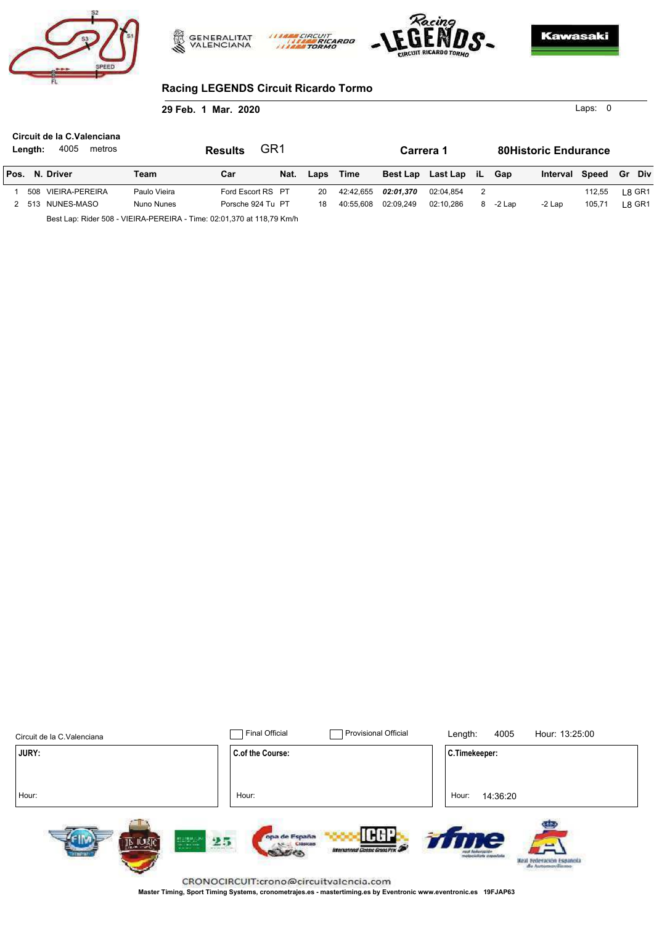





0 Laps:

### **Racing LEGENDS Circuit Ricardo Tormo**

**29 Feb. 1 Mar. 2020**

| Length: | Circuit de la C.Valenciana<br>4005<br>metros                          |              | <b>Results</b>    | GR <sub>1</sub> |      |           | Carrera 1       |             |   |        | <b>80Historic Endurance</b> |        |               |
|---------|-----------------------------------------------------------------------|--------------|-------------------|-----------------|------|-----------|-----------------|-------------|---|--------|-----------------------------|--------|---------------|
|         | Pos. N. Driver                                                        | Team         | Car               | Nat.            | Laps | Time      | <b>Best Lap</b> | Last Lap iL |   | Gap    | Interval Speed              |        | <b>Gr</b> Div |
|         | 508 VIEIRA-PEREIRA                                                    | Paulo Vieira | Ford Escort RS PT |                 | 20   | 42:42.655 | 02:01.370       | 02:04.854   | 2 |        |                             | 112.55 | L8 GR1        |
|         | 2 513 NUNES-MASO                                                      | Nuno Nunes   | Porsche 924 Tu PT |                 | 18   | 40:55.608 | 02:09.249       | 02:10.286   | 8 | -2 Lap | -2 Lap                      | 105.71 | l 8 GR1       |
|         | Best Lap: Rider 508 - VIEIRA-PEREIRA - Time: 02:01,370 at 118,79 Km/h |              |                   |                 |      |           |                 |             |   |        |                             |        |               |

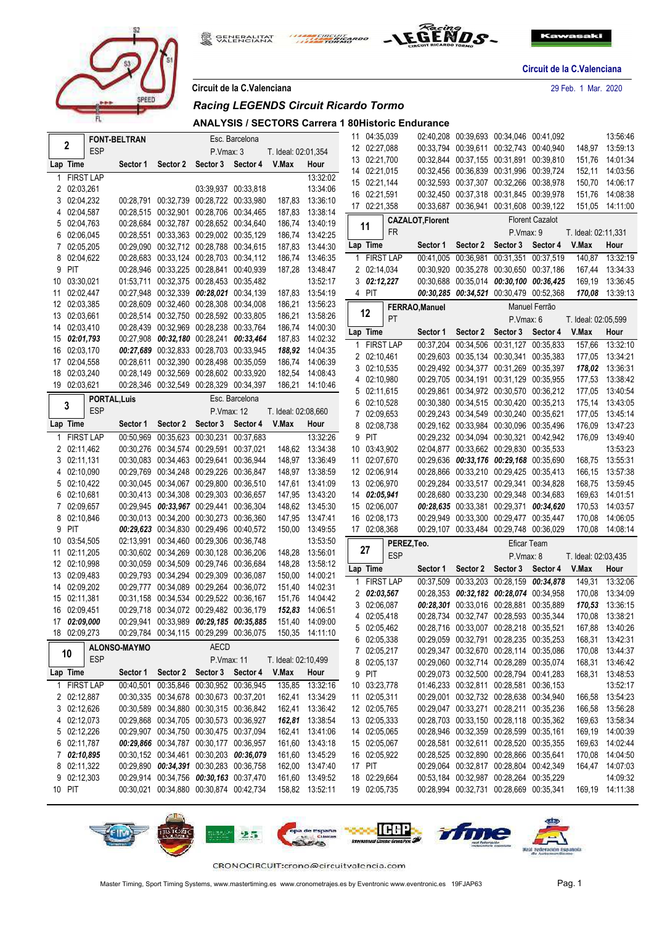

**GENERALITAT**<br>VALENCIANA EIRCUIT



**Circuit de la C.Valenciana**

**Circuit de la C.Valenciana** 29 Feb. 1 Mar. 2020

| Circuit de la C.Valenciana |  |  |  |
|----------------------------|--|--|--|
|                            |  |  |  |

#### *Racing LEGENDS Circuit Ricardo Tormo*

**ANALYSIS / SECTORS Carrera 1 80Historic Endurance**

|              |                              |                     | <b>FONT-BELTRAN</b> |                                                                                    |            | Esc. Barcelona      |                     |                                    | 11 04:35,039 |             |                         | 02:40,208 00:39,693 00:34,046 00:41,092 |                   |                        |                     | 13:56:46        |
|--------------|------------------------------|---------------------|---------------------|------------------------------------------------------------------------------------|------------|---------------------|---------------------|------------------------------------|--------------|-------------|-------------------------|-----------------------------------------|-------------------|------------------------|---------------------|-----------------|
|              | 2                            | <b>ESP</b>          |                     |                                                                                    | P.Vmax: 3  |                     | T. Ideal: 02:01,354 |                                    | 12 02:27,088 |             |                         | 00:33,794 00:39,611 00:32,743 00:40,940 |                   |                        |                     | 148,97 13:59:13 |
|              | Lap Time                     |                     | Sector 1            | Sector 2 Sector 3 Sector 4                                                         |            |                     | V.Max               | Hour                               | 13 02:21,700 |             |                         | 00:32,844 00:37,155 00:31,891 00:39,810 |                   |                        | 151,76              | 14:01:34        |
| 1            | <b>FIRST LAP</b>             |                     |                     |                                                                                    |            |                     |                     | 13:32:02                           | 14 02:21,015 |             |                         | 00:32.456 00:36.839 00:31.996 00:39.724 |                   |                        | 152,11              | 14:03:56        |
|              | 2 02:03,261                  |                     |                     |                                                                                    |            | 03:39.937 00:33.818 |                     | 13:34:06                           | 15 02:21,144 |             |                         | 00:32,593 00:37,307 00:32,266 00:38,978 |                   |                        | 150,70              | 14:06:17        |
|              | 3 02:04,232                  |                     |                     | 00:28,791 00:32,739 00:28,722 00:33,980                                            |            |                     |                     | 187,83 13:36:10                    | 16 02:21,591 |             |                         | 00:32,450 00:37,318 00:31,845 00:39,978 |                   |                        | 151,76              | 14:08:38        |
|              | 4 02:04,587                  |                     |                     | 00:28,515 00:32,901 00:28,706 00:34,465                                            |            |                     | 187,83              | 13:38:14                           | 17 02:21.358 |             |                         | 00:33,687 00:36,941 00:31,608 00:39,122 |                   |                        |                     | 151,05 14:11:00 |
|              | 5 02:04,763                  |                     |                     | 00:28,684 00:32,787 00:28,652 00:34,640                                            |            |                     | 186,74              | 13:40:19                           | 11           |             | <b>CAZALOT, Florent</b> |                                         |                   | <b>Florent Cazalot</b> |                     |                 |
|              | 6 02:06,045                  |                     |                     | 00:28,551 00:33,363 00:29,002 00:35,129                                            |            |                     | 186,74              | 13:42:25                           |              | <b>FR</b>   |                         |                                         | P.Vmax: 9         |                        | T. Ideal: 02:11,331 |                 |
|              | 7 02:05,205                  |                     |                     | 00:29,090 00:32,712 00:28,788 00:34,615                                            |            |                     |                     | 187,83 13:44:30                    | Lap Time     |             | Sector 1                | Sector 2                                | Sector 3 Sector 4 |                        | V.Max               | Hour            |
|              | 8 02:04,622                  |                     |                     | 00:28,683 00:33,124 00:28,703 00:34,112                                            |            |                     | 186,74              | 13:46:35                           |              | 1 FIRST LAP |                         | 00:41,005 00:36,981 00:31,351 00:37,519 |                   |                        | 140,87              | 13:32:19        |
|              | 9 PIT                        |                     |                     | 00:28,946 00:33,225 00:28,841 00:40,939                                            |            |                     | 187,28              | 13:48:47                           | 2 02:14,034  |             |                         | 00:30,920 00:35,278 00:30,650 00:37,186 |                   |                        |                     | 167,44 13:34:33 |
|              | 10 03:30,021                 |                     |                     | 01:53,711 00:32,375 00:28,453 00:35,482                                            |            |                     |                     | 13:52:17                           | 302:12,227   |             |                         | 00:30,688 00:35,014 00:30,100 00:36,425 |                   |                        | 169,19              | 13:36:45        |
|              | 11 02:02,447                 |                     |                     | 00:27,948 00:32,339 00:28,021 00:34,139                                            |            |                     |                     | 187,83 13:54:19                    | 4 PIT        |             |                         | 00:30,285 00:34,521 00:30,479 00:52,368 |                   |                        |                     | 170,08 13:39:13 |
|              | 12 02:03,385                 |                     |                     | 00:28,609 00:32,460 00:28,308 00:34,008                                            |            |                     | 186,21              | 13:56:23                           |              |             | FERRAO, Manuel          |                                         |                   | Manuel Ferrão          |                     |                 |
|              | 13 02:03,661                 |                     |                     | 00:28,514 00:32,750 00:28,592 00:33,805                                            |            |                     | 186,21              | 13:58:26                           | 12           | PT          |                         |                                         | P.Vmax: 6         |                        | T. Ideal: 02:05,599 |                 |
|              | 14 02:03,410                 |                     |                     | 00:28,439 00:32,969 00:28,238 00:33,764                                            |            |                     | 186,74              | 14:00:30                           | Lap Time     |             |                         | Sector 2                                | Sector 3          |                        | V.Max               | Hour            |
|              | 15 02:01,793                 |                     |                     | 00:27,908 00:32,180 00:28,241 00:33,464                                            |            |                     |                     | 187,83 14:02:32                    |              |             | Sector 1                |                                         |                   | Sector 4               |                     |                 |
|              | 16 02:03,170                 |                     |                     | 00:27,689 00:32,833 00:28,703 00:33,945                                            |            |                     |                     | 188,92 14:04:35                    |              | 1 FIRST LAP |                         | 00:37,204 00:34,506 00:31,127 00:35,833 |                   |                        | 157,66              | 13:32:10        |
|              | 17 02:04,558                 |                     |                     | 00:28,611 00:32,390 00:28,498 00:35,059                                            |            |                     | 186,74              | 14:06:39                           | 2 02:10,461  |             |                         | 00:29,603 00:35,134 00:30,341 00:35,383 |                   |                        |                     | 177,05 13:34:21 |
|              | 18 02:03,240                 |                     |                     | 00:28,149 00:32,569 00:28,602 00:33,920                                            |            |                     | 182,54              | 14:08:43                           | 3 02:10,535  |             |                         | 00:29.492 00:34.377 00:31.269 00:35.397 |                   |                        |                     | 178,02 13:36:31 |
|              | 19 02:03.621                 |                     |                     | 00:28,346 00:32,549 00:28,329 00:34,397                                            |            |                     |                     | 186,21 14:10:46                    | 4 02:10,980  |             |                         | 00:29,705 00:34,191 00:31,129 00:35,955 |                   |                        | 177,53              | 13:38:42        |
|              |                              | <b>PORTAL, Luis</b> |                     |                                                                                    |            | Esc. Barcelona      |                     |                                    | 5 02:11,615  |             |                         | 00:29,861 00:34,972 00:30,570 00:36,212 |                   |                        |                     | 177,05 13:40:54 |
|              | 3                            | <b>ESP</b>          |                     |                                                                                    | P.Vmax: 12 |                     | T. Ideal: 02:08,660 |                                    | 6 02:10,528  |             |                         | 00:30,380 00:34,515 00:30,420 00:35,213 |                   |                        |                     | 175,14 13:43:05 |
|              | Lap Time                     |                     | Sector 1            | Sector 2                                                                           | Sector 3   | Sector 4            | V.Max               | Hour                               | 7 02:09,653  |             |                         | 00:29.243 00:34.549 00:30.240 00:35.621 |                   |                        | 177,05              | 13:45:14        |
|              |                              |                     |                     |                                                                                    |            |                     |                     |                                    | 8 02:08,738  |             |                         | 00:29.162 00:33.984 00:30.096 00:35.496 |                   |                        | 176,09              | 13:47:23        |
| $\mathbf{1}$ | <b>FIRST LAP</b>             |                     |                     | 00:50,969 00:35,623 00:30,231 00:37,683                                            |            |                     |                     | 13:32:26                           | 9 PIT        |             |                         | 00:29,232 00:34,094 00:30,321 00:42,942 |                   |                        | 176,09              | 13:49:40        |
|              | 2 02:11,462                  |                     |                     | 00:30,276 00:34,574 00:29,591 00:37,021                                            |            |                     | 148,62              | 13:34:38                           | 10 03:43,902 |             |                         | 02:04.877 00:33.662 00:29.830 00:35.533 |                   |                        |                     | 13:53:23        |
|              | 3 02:11,131                  |                     |                     | 00:30,083 00:34,463 00:29,641 00:36,944                                            |            |                     |                     | 148,97 13:36:49                    | 11 02:07,670 |             |                         | 00:29,636 00:33,176 00:29,168 00:35,690 |                   |                        |                     | 168,75 13:55:31 |
|              | 4 02:10,090                  |                     |                     | 00:29,769 00:34,248 00:29,226 00:36,847                                            |            |                     |                     | 148,97 13:38:59                    | 12 02:06,914 |             |                         | 00:28,866 00:33,210 00:29,425 00:35,413 |                   |                        | 166,15              | 13:57:38        |
|              | 5 02:10,422                  |                     |                     | 00:30,045 00:34,067 00:29,800 00:36,510                                            |            |                     |                     | 147,61 13:41:09                    | 13 02:06,970 |             |                         | 00:29,284 00:33,517 00:29,341 00:34,828 |                   |                        |                     | 168,75 13:59:45 |
|              | 6 02:10,681                  |                     |                     | 00:30,413 00:34,308 00:29,303 00:36,657                                            |            |                     |                     | 147,95 13:43:20                    | 14 02:05,941 |             |                         | 00:28,680 00:33,230 00:29,348 00:34,683 |                   |                        | 169,63              | 14:01:51        |
|              | 7 02:09,657                  |                     |                     | 00:29,945 00:33,967 00:29,441 00:36,304                                            |            |                     | 148,62              | 13:45:30                           | 15 02:06,007 |             |                         | 00:28,635 00:33,381 00:29,371 00:34,620 |                   |                        | 170,53              | 14:03:57        |
|              | 8 02:10,846                  |                     |                     | 00:30,013 00:34,200 00:30,273 00:36,360                                            |            |                     |                     | 147,95 13:47:41                    | 16 02:08,173 |             |                         | 00:29,949 00:33,300 00:29,477 00:35,447 |                   |                        | 170,08              | 14:06:05        |
|              | 9 PIT<br>10 03:54,505        |                     |                     | 00:29,623 00:34,830 00:29,496 00:40,572<br>02:13,991 00:34,460 00:29,306 00:36,748 |            |                     | 150,00              | 13:49:55<br>13:53:50               | 17 02:08,368 |             |                         | 00:29,107 00:33,484 00:29,748 00:36,029 |                   |                        |                     | 170,08 14:08:14 |
|              |                              |                     |                     |                                                                                    |            |                     |                     |                                    | 27           |             | PEREZ, Teo.             |                                         | Eficar Team       |                        |                     |                 |
|              | 11 02:11,205<br>12 02:10,998 |                     |                     | 00:30,602 00:34,269 00:30,128 00:36,206<br>00:30.059 00:34.509 00:29.746 00:36.684 |            |                     |                     | 148,28 13:56:01<br>148,28 13:58:12 |              | <b>ESP</b>  |                         |                                         | P.Vmax: 8         |                        | T. Ideal: 02:03,435 |                 |
|              | 13 02:09,483                 |                     |                     | 00:29,793 00:34,294 00:29,309 00:36,087                                            |            |                     | 150,00              | 14:00:21                           | Lap Time     |             | Sector 1                | Sector 2                                | Sector 3          | Sector 4               | V.Max               | Hour            |
|              | 14 02:09,202                 |                     |                     | 00:29,777 00:34,089 00:29,264 00:36,072                                            |            |                     | 151,40              | 14:02:31                           |              | 1 FIRST LAP |                         | 00:37,509 00:33,203 00:28,159 00:34,878 |                   |                        | 149,31              | 13:32:06        |
|              | 15 02:11,381                 |                     |                     | 00:31,158 00:34,534 00:29,522 00:36,167                                            |            |                     | 151,76              | 14:04:42                           | 2 02:03,567  |             |                         | 00:28,353 00:32,182 00:28,074 00:34,958 |                   |                        | 170,08              | 13:34:09        |
|              | 16 02:09,451                 |                     |                     | 00:29,718 00:34,072 00:29,482 00:36,179                                            |            |                     |                     | 152,83 14:06:51                    | 3 02:06,087  |             |                         | 00:28,301 00:33,016 00:28,881 00:35,889 |                   |                        | 170,53              | 13:36:15        |
|              | 17 02:09,000                 |                     |                     | 00:29,941 00:33,989 00:29,185 00:35,885                                            |            |                     |                     | 151,40 14:09:00                    | 4 02:05,418  |             |                         | 00:28,734 00:32,747 00:28,593 00:35,344 |                   |                        |                     | 170.08 13:38:21 |
|              | 18 02:09,273                 |                     |                     | 00:29,784 00:34,115 00:29,299 00:36,075 150,35 14:11:10                            |            |                     |                     |                                    | 5 02:05,462  |             |                         | 00:28,716 00:33,007 00:28,218 00:35,521 |                   |                        |                     | 167,88 13:40:26 |
|              |                              |                     |                     |                                                                                    |            |                     |                     |                                    | 6 02:05,338  |             |                         | 00:29,059 00:32,791 00:28,235 00:35,253 |                   |                        |                     | 168,31 13:42:31 |
|              | 10                           |                     | ALONSO-MAYMO        |                                                                                    | AECD       |                     |                     |                                    | 7 02:05,217  |             |                         | 00:29,347 00:32,670 00:28,114 00:35,086 |                   |                        |                     | 170,08 13:44:37 |
|              |                              | <b>ESP</b>          |                     |                                                                                    | P.Vmax: 11 |                     | T. Ideal: 02:10,499 |                                    | 8 02:05,137  |             |                         | 00:29.060 00:32.714 00:28.289 00:35.074 |                   |                        |                     | 168,31 13:46:42 |
|              | Lap Time                     |                     |                     | Sector 1 Sector 2 Sector 3 Sector 4                                                |            |                     | V.Max               | Hour                               | 9 PIT        |             |                         | 00:29,073 00:32,500 00:28,794 00:41,283 |                   |                        |                     | 168,31 13:48:53 |
| 1            | <b>FIRST LAP</b>             |                     |                     | 00:40.501 00:35.846 00:30.952 00:36.945                                            |            |                     | 135,85              | 13:32:16                           | 10 03:23,778 |             |                         | 01:46,233 00:32,811 00:28,581 00:36,153 |                   |                        |                     | 13:52:17        |
|              | 2 02:12,887                  |                     |                     | 00:30,335 00:34,678 00:30,673 00:37,201                                            |            |                     |                     | 162,41 13:34:29                    | 11 02:05,311 |             |                         | 00:29,001 00:32,732 00:28,638 00:34,940 |                   |                        |                     | 166,58 13:54:23 |
|              | 3 02:12,626                  |                     |                     | 00:30,589 00:34,880 00:30,315 00:36,842                                            |            |                     |                     | 162,41 13:36:42                    | 12 02:05,765 |             |                         | 00:29,047 00:33,271 00:28,211 00:35,236 |                   |                        |                     | 166,58 13:56:28 |
|              | 4 02:12,073                  |                     |                     | 00:29,868 00:34,705 00:30,573 00:36,927                                            |            |                     |                     | 162,81 13:38:54                    | 13 02:05,333 |             |                         | 00:28,703 00:33,150 00:28,118 00:35,362 |                   |                        |                     | 169,63 13:58:34 |
|              | 5 02:12,226                  |                     |                     | 00:29,907 00:34,750 00:30,475 00:37,094                                            |            |                     |                     | 162,41 13:41:06                    | 14 02:05,065 |             |                         | 00:28,946 00:32,359 00:28,599 00:35,161 |                   |                        |                     | 169,19 14:00:39 |
|              | 6 02:11,787                  |                     |                     | 00:29,866 00:34,787 00:30,177 00:36,957                                            |            |                     |                     | 161,60 13:43:18                    | 15 02:05,067 |             |                         | 00:28,581 00:32,611 00:28,520 00:35,355 |                   |                        |                     | 169,63 14:02:44 |
|              | 7 02:10,895                  |                     |                     | 00:30,152 00:34,461 00:30,203 00:36,079                                            |            |                     |                     | 161,60 13:45:29                    | 16 02:05,922 |             |                         | 00:28,525 00:32,890 00:28,866 00:35,641 |                   |                        |                     | 170,08 14:04:50 |
|              | 8 02:11,322                  |                     |                     | 00:29,890 00:34,391 00:30,283 00:36,758                                            |            |                     |                     | 162,00 13:47:40                    | 17 PIT       |             |                         | 00:29,064 00:32,817 00:28,804 00:42,349 |                   |                        |                     | 164,47 14:07:03 |
|              | 9 02:12,303                  |                     |                     | 00:29,914 00:34,756 00:30,163 00:37,470                                            |            |                     |                     | 161,60 13:49:52                    | 18 02:29,664 |             |                         | 00:53,184 00:32,987 00:28,264 00:35,229 |                   |                        |                     | 14:09:32        |
|              | 10 PIT                       |                     |                     | 00:30,021 00:34,880 00:30,874 00:42,734                                            |            |                     |                     | 158,82 13.52:11                    | 19 02:05,735 |             |                         | 00:28,994 00:32,731 00:28,669 00:35,341 |                   |                        |                     | 169,19 14:11:38 |
|              |                              |                     |                     |                                                                                    |            |                     |                     |                                    |              |             |                         |                                         |                   |                        |                     |                 |

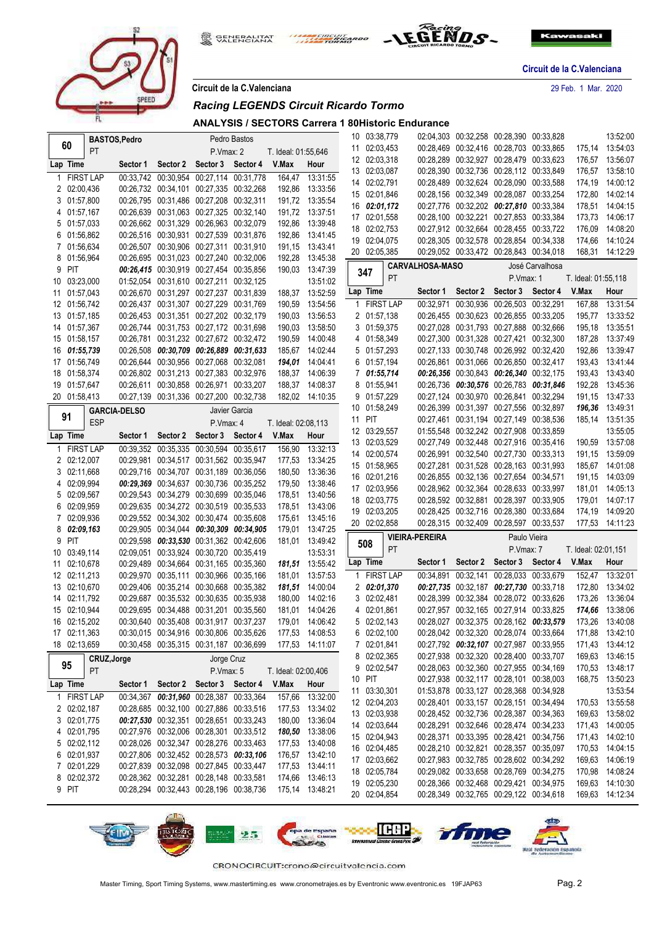

**GENERALITAT**<br>VALENCIANA 戀 THE CIRCUIT



**Circuit de la C.Valenciana**

**Circuit de la C.Valenciana** 29 Feb. 1 Mar. 2020

|  |  | Circuit de la C.Valenciana |
|--|--|----------------------------|

#### *Racing LEGENDS Circuit Ricardo Tormo*

**ANALYSIS / SECTORS Carrera 1 80Historic Endurance**

|    |                              | <b>BASTOS, Pedro</b> |                     |                                                                                    |                            | Pedro Bastos  |                     |                                    | 10 03:38,779                 |             |                        |          | 02:04,303 00:32,258 00:28,390 00:33,828                                            |                 |                     | 13:52:00                           |
|----|------------------------------|----------------------|---------------------|------------------------------------------------------------------------------------|----------------------------|---------------|---------------------|------------------------------------|------------------------------|-------------|------------------------|----------|------------------------------------------------------------------------------------|-----------------|---------------------|------------------------------------|
|    | 60                           | <b>PT</b>            |                     |                                                                                    | P.Vmax: 2                  |               | T. Ideal: 01:55,646 |                                    | 11 02:03,453                 |             |                        |          | 00:28,469 00:32,416 00:28,703 00:33,865                                            |                 | 175,14              | 13:54:03                           |
|    | Lap Time                     |                      | Sector 1            |                                                                                    | Sector 2 Sector 3 Sector 4 |               | V.Max               | Hour                               | 12 02:03,318                 |             |                        |          | 00:28,289 00:32,927 00:28,479 00:33,623                                            |                 | 176,57              | 13:56:07                           |
|    | 1 FIRST LAP                  |                      |                     | 00:33,742 00:30,954 00:27,114 00:31,778                                            |                            |               | 164,47              | 13:31:55                           | 13 02:03,087                 |             |                        |          | 00:28,390 00:32,736 00:28,112 00:33,849                                            |                 | 176,57              | 13:58:10                           |
|    | 2 02:00,436                  |                      |                     | 00:26.732 00:34.101 00:27.335 00:32.268                                            |                            |               |                     | 192,86 13:33:56                    | 14 02:02,791                 |             |                        |          | 00:28,489 00:32,624 00:28,090 00:33,588                                            |                 | 174,19              | 14:00:12                           |
|    | 3 01:57,800                  |                      |                     | 00:26,795 00:31,486 00:27,208 00:32,311                                            |                            |               |                     | 191,72 13:35:54                    | 15 02:01,846                 |             |                        |          | 00:28,156 00:32,349 00:28,087 00:33,254                                            |                 | 172,80              | 14:02:14                           |
|    | 4 01:57,167                  |                      |                     | 00:26.639 00:31.063 00:27.325 00:32.140                                            |                            |               |                     | 191,72 13:37:51                    | 16 02:01,172                 |             |                        |          | 00:27,776 00:32,202 00:27,810 00:33,384                                            |                 | 178,51              | 14:04:15                           |
|    | 5 01:57,033                  |                      |                     | 00:26,662 00:31,329 00:26,963 00:32,079                                            |                            |               |                     | 192,86 13:39:48                    | 17 02:01,558                 |             |                        |          | 00:28,100 00:32,221 00:27,853 00:33,384                                            |                 | 173,73              | 14:06:17                           |
|    | 6 01:56,862                  |                      |                     | 00:26,516 00:30,931 00:27,539 00:31,876                                            |                            |               |                     | 192,86 13:41:45                    | 18 02:02,753                 |             |                        |          | 00:27,912 00:32,664 00:28,455 00:33,722                                            |                 | 176,09              | 14:08:20                           |
|    | 7 01:56,634                  |                      |                     | 00:26,507 00:30,906 00:27,311 00:31,910                                            |                            |               |                     | 191,15 13:43:41                    | 19 02:04,075                 |             |                        |          | 00:28,305 00:32,578 00:28,854 00:34,338                                            |                 | 174,66              | 14:10:24                           |
|    | 8 01:56,964                  |                      |                     | 00:26,695 00:31,023 00:27,240 00:32,006                                            |                            |               |                     | 192,28 13:45:38                    | 20 02:05,385                 |             |                        |          | 00:29.052 00:33.472 00:28.843 00:34.018                                            |                 | 168,31              | 14:12:29                           |
|    | PIT<br>9                     |                      |                     | 00:26,415 00:30,919 00:27,454 00:35,856                                            |                            |               |                     | 190,03 13:47:39                    | 347                          |             | <b>CARVALHOSA-MASO</b> |          |                                                                                    | José Carvalhosa |                     |                                    |
| 10 | 03:23,000                    |                      |                     | 01:52.054 00:31.610 00:27.211 00:32.125                                            |                            |               |                     | 13:51:02                           |                              | PT          |                        |          | P.Vmax: 1                                                                          |                 | T. Ideal: 01:55,118 |                                    |
|    | 11 01:57,043                 |                      |                     | 00:26,670 00:31,297 00:27,237 00:31,839                                            |                            |               |                     | 188,37 13:52:59                    | Lap Time                     |             | Sector 1               | Sector 2 | Sector 3                                                                           | Sector 4        | V.Max               | Hour                               |
|    | 12 01:56,742                 |                      |                     | 00:26,437 00:31,307 00:27,229 00:31,769                                            |                            |               | 190,59              | 13:54:56                           |                              | 1 FIRST LAP |                        |          | 00:32,971 00:30,936 00:26,503 00:32,291                                            |                 | 167,88              | 13:31:54                           |
|    | 13 01:57,185                 |                      |                     | 00:26,453 00:31,351 00:27,202 00:32,179                                            |                            |               |                     | 190,03 13:56:53                    | 2 01:57,138                  |             |                        |          | 00:26,455 00:30,623 00:26,855 00:33,205                                            |                 |                     | 195,77 13:33:52                    |
|    | 14 01:57,367                 |                      |                     | 00:26,744 00:31,753 00:27,172 00:31,698                                            |                            |               |                     | 190,03 13:58:50                    | 3 01:59,375                  |             |                        |          | 00:27,028 00:31,793 00:27,888 00:32,666                                            |                 | 195,18              | 13:35:51                           |
|    | 15 01:58,157                 |                      |                     | 00:26,781 00:31,232 00:27,672 00:32,472                                            |                            |               |                     | 190,59 14:00:48                    | 4 01:58,349                  |             |                        |          | 00:27,300 00:31,328 00:27,421 00:32,300                                            |                 | 187,28              | 13:37:49                           |
|    | 16 01:55,739                 |                      |                     | 00:26,508 00:30,709 00:26,889 00:31,633                                            |                            |               |                     | 185,67 14:02:44                    | 5 01:57,293                  |             |                        |          | 00:27,133 00:30,748 00:26,992 00:32,420                                            |                 |                     | 192,86 13:39:47                    |
|    | 17 01:56,749                 |                      |                     | 00:26,644 00:30,956 00:27,068 00:32,081                                            |                            |               |                     | 194.01 14:04:41                    | 6 01:57,194                  |             |                        |          | 00:26,861 00:31,066 00:26,850 00:32,417                                            |                 |                     | 193,43 13:41:44                    |
|    | 18 01:58,374                 |                      |                     | 00:26.802 00:31.213 00:27.383 00:32.976                                            |                            |               |                     | 188,37 14:06:39                    | 7 01:55,714                  |             |                        |          | 00:26,356 00:30,843 00:26,340 00:32,175                                            |                 | 193,43              | 13:43:40                           |
|    | 19 01:57,647                 |                      |                     | 00:26,611 00:30,858 00:26,971 00:33,207                                            |                            |               |                     | 188,37 14:08:37                    | 8 01:55,941                  |             |                        |          | 00:26,736 00:30,576 00:26,783 00:31,846                                            |                 | 192,28              | 13:45:36                           |
|    | 20 01:58,413                 |                      |                     | 00:27,139 00:31,336 00:27,200 00:32,738                                            |                            |               |                     | 182,02 14:10:35                    | 9 01:57,229                  |             |                        |          | 00:27,124 00:30,970 00:26,841 00:32,294                                            |                 | 191,15              | 13:47:33                           |
|    | 91                           |                      | <b>GARCIA-DELSO</b> |                                                                                    |                            | Javier Garcia |                     |                                    | 10 01:58,249                 |             |                        |          | 00:26,399 00:31,397 00:27,556 00:32,897                                            |                 |                     | 196,36 13:49:31                    |
|    |                              | <b>ESP</b>           |                     |                                                                                    | P.Vmax: 4                  |               | T. Ideal: 02:08,113 |                                    | 11 PIT                       |             |                        |          | 00:27,461 00:31,194 00:27,149 00:38,536                                            |                 | 185,14              | 13:51:35                           |
|    | Lap Time                     |                      | Sector 1            | Sector 2                                                                           | Sector 3                   | Sector 4      | V.Max               | Hour                               | 12 03:29,557                 |             |                        |          | 01:55,548 00:32,242 00:27,908 00:33,859                                            |                 |                     | 13:55:05                           |
|    | 1 FIRST LAP                  |                      |                     | 00:39,352 00:35,335 00:30,594 00:35,617                                            |                            |               | 156,90              | 13:32:13                           | 13 02:03,529<br>14 02:00,574 |             |                        |          | 00:27,749 00:32,448 00:27,916 00:35,416<br>00:26,991 00:32,540 00:27,730 00:33,313 |                 |                     | 190,59 13:57:08<br>191,15 13:59:09 |
|    | 2 02:12,007                  |                      |                     | 00:29,981 00:34,517 00:31,562 00:35,947                                            |                            |               |                     | 177,53 13:34:25                    | 15 01:58,965                 |             |                        |          | 00:27,281 00:31,528 00:28,163 00:31,993                                            |                 |                     | 185,67 14:01:08                    |
|    | 02:11,668<br>3               |                      |                     | 00:29,716 00:34,707 00:31,189 00:36,056                                            |                            |               | 180,50              | 13:36:36                           | 16 02:01,216                 |             |                        |          | 00:26,855 00:32,136 00:27,654 00:34,571                                            |                 | 191,15              | 14:03:09                           |
|    | 4 02:09,994                  |                      |                     | 00:29,369 00:34,637 00:30,736 00:35,252                                            |                            |               |                     | 179,50 13:38:46                    | 17 02:03,956                 |             |                        |          | 00:28,962 00:32,364 00:28,633 00:33,997                                            |                 | 181,01              | 14:05:13                           |
|    | 02:09,567<br>5               |                      |                     | 00:29,543 00:34,279 00:30,699 00:35,046                                            |                            |               |                     | 178,51 13:40:56                    | 18 02:03,775                 |             |                        |          | 00:28,592 00:32,881 00:28,397 00:33,905                                            |                 | 179,01              | 14:07:17                           |
|    | 02:09,959<br>6               |                      |                     | 00:29,635 00:34,272 00:30,519 00:35,533                                            |                            |               |                     | 178,51 13:43:06                    | 19 02:03,205                 |             |                        |          | 00:28,425 00:32,716 00:28,380 00:33,684                                            |                 | 174,19              | 14:09:20                           |
|    | 7 02:09,936                  |                      |                     | 00:29,552 00:34,302 00:30,474 00:35,608                                            |                            |               |                     | 175,61 13:45:16                    | 20 02:02,858                 |             |                        |          | 00:28,315 00:32,409 00:28,597 00:33,537                                            |                 |                     | 177,53 14:11:23                    |
|    | $8\quad 02:09,163$           |                      |                     | 00:29,905 00:34,044 00:30,309 00:34,905                                            |                            |               | 179,01              | 13:47:25                           |                              |             | <b>VIEIRA-PEREIRA</b>  |          | Paulo Vieira                                                                       |                 |                     |                                    |
|    | PIT<br>9                     |                      |                     | 00:29,598 00:33,530 00:31,362 00:42,606                                            |                            |               |                     | 181,01 13:49:42                    | 508                          | PT          |                        |          | P.Vmax: 7                                                                          |                 | T. Ideal: 02:01,151 |                                    |
|    | 10 03:49,114                 |                      |                     | 02:09.051 00:33.924 00:30.720 00:35.419                                            |                            |               |                     | 13:53:31                           | Lap Time                     |             | Sector 1               |          | Sector 2 Sector 3 Sector 4                                                         |                 | V.Max               | Hour                               |
|    | 11 02:10,678                 |                      |                     | 00:29,489 00:34,664 00:31,165 00:35,360                                            |                            |               |                     | 181,51 13:55:42                    |                              |             |                        |          |                                                                                    |                 |                     |                                    |
|    | 12 02:11,213                 |                      |                     | 00:29,970 00:35,111 00:30,966 00:35,166                                            |                            |               |                     | 181,01 13:57:53<br>181,51 14:00:04 | 2 02:01,370                  | 1 FIRST LAP |                        |          | 00:34,891 00:32,141 00:28,033 00:33,679                                            |                 | 152,47<br>172,80    | 13:32:01<br>13:34:02               |
|    | 13 02:10,670<br>14 02:11,792 |                      |                     | 00:29,406 00:35,214 00:30,668 00:35,382<br>00:29,687 00:35,532 00:30,635 00:35,938 |                            |               |                     | 180,00 14:02:16                    | 3 02:02,481                  |             |                        |          | 00:27,735 00:32,187 00:27,730 00:33,718<br>00:28,399 00:32,384 00:28,072 00:33,626 |                 | 173.26              | 13:36:04                           |
|    | 15 02:10,944                 |                      |                     | 00:29,695 00:34,488 00:31,201 00:35,560                                            |                            |               |                     | 181.01  14:04:26                   | 4 02:01,861                  |             |                        |          | 00:27,957 00:32,165 00:27,914 00:33,825                                            |                 |                     | 174,66 13:38:06                    |
|    | 16 02:15,202                 |                      |                     | 00:30,640 00:35,408 00:31,917 00:37,237                                            |                            |               |                     | 179.01  14:06:42                   | 5 02:02,143                  |             |                        |          | 00:28.027 00:32.375 00:28.162 00:33.579                                            |                 |                     | 173,26 13:40:08                    |
|    | 17 02:11,363                 |                      |                     | 00:30,015 00:34,916 00:30,806 00:35,626 177,53 14:08:53                            |                            |               |                     |                                    | 6 02:02,100                  |             |                        |          | 00:28,042 00:32,320 00:28,074 00:33,664                                            |                 |                     | 171,88 13:42:10                    |
|    | 18 02:13,659                 |                      |                     | 00:30,458 00:35,315 00:31,187 00:36,699 177,53 14:11:07                            |                            |               |                     |                                    | 7 02:01,841                  |             |                        |          | 00:27,792 00:32,107 00:27,987 00:33,955                                            |                 |                     | 171,43  13:44:12                   |
|    |                              |                      |                     |                                                                                    |                            |               |                     |                                    | 8 02:02,365                  |             |                        |          | 00:27,938 00:32,320 00:28,400 00:33,707                                            |                 |                     | 169,63 13:46:15                    |
|    | 95                           | CRUZ, Jorge          |                     |                                                                                    | Jorge Cruz                 |               |                     |                                    | 9 02:02,547                  |             |                        |          | 00:28,063 00:32,360 00:27,955 00:34,169                                            |                 |                     | 170,53 13:48:17                    |
|    |                              | PT                   |                     |                                                                                    | P.Vmax: 5                  |               | T. Ideal: 02:00,406 |                                    | 10 PIT                       |             |                        |          | 00:27,938 00:32,117 00:28,101 00:38,003                                            |                 |                     | 168,75 13:50:23                    |
|    | Lap Time                     |                      |                     | Sector 1 Sector 2 Sector 3 Sector 4 V.Max                                          |                            |               |                     | Hour                               | 11 03:30,301                 |             |                        |          | 01:53,878 00:33,127 00:28,368 00:34,928                                            |                 |                     | 13:53:54                           |
|    | 1 FIRST LAP                  |                      |                     | 00:34,367 00:31,960 00:28,387 00:33,364                                            |                            |               |                     | 157,66 13:32:00                    | 12 02:04,203                 |             |                        |          | 00:28,401 00:33,157 00:28,151 00:34,494                                            |                 |                     | 170,53 13:55:58                    |
|    | 2 02:02,187                  |                      |                     | 00:28.685 00:32.100 00:27.886 00:33.516                                            |                            |               |                     | 177,53 13:34:02                    | 13 02:03,938                 |             |                        |          | 00:28,452 00:32,736 00:28,387 00:34,363                                            |                 |                     | 169,63 13:58:02                    |
|    | 3 02:01,775                  |                      |                     | 00:27,530 00:32,351 00:28,651 00:33,243                                            |                            |               |                     | 180,00 13:36:04                    | 14 02:03,644                 |             |                        |          | 00:28,291 00:32,646 00:28,474 00:34,233                                            |                 |                     | 171,43 14:00:05                    |
|    | 4 02:01,795                  |                      |                     | 00:27,976 00:32,006 00:28,301 00:33,512                                            |                            |               |                     | 180,50 13:38:06                    | 15 02:04,943                 |             |                        |          | 00:28,371 00:33,395 00:28,421 00:34,756                                            |                 |                     | 171,43 14:02:10                    |
|    | 5 02:02,112                  |                      |                     | 00:28,026 00:32,347 00:28,276 00:33,463                                            |                            |               |                     | 177,53 13:40:08                    | 16 02:04,485                 |             |                        |          | 00:28,210 00:32,821 00:28,357 00:35,097                                            |                 |                     | 170,53 14:04:15                    |
|    | 6 02:01,937                  |                      |                     | 00:27,806 00:32,452 00:28,573 00:33,106                                            |                            |               |                     | 176,57 13:42:10                    | 17 02:03,662                 |             |                        |          | 00:27,983 00:32,785 00:28,602 00:34,292                                            |                 |                     | 169,63 14:06:19                    |
|    | 7 02:01,229                  |                      |                     | 00:27,839 00:32,098 00:27,845 00:33,447                                            |                            |               |                     | 177,53 13:44:11                    | 18 02:05,784                 |             |                        |          | 00:29,082 00:33,658 00:28,769 00:34,275                                            |                 |                     | 170,98 14:08:24                    |
|    | 8 02:02,372                  |                      |                     | 00:28,362 00:32,281 00:28,148 00:33,581                                            |                            |               |                     | 174,66 13:46:13                    | 19 02:05,230                 |             |                        |          | 00:28,366 00:32,468 00:29,421 00:34,975                                            |                 |                     | 169,63 14:10:30                    |
|    | 9 PIT                        |                      |                     | 00:28,294 00:32,443 00:28,196 00:38,736                                            |                            |               | 175,14 13:48:21     |                                    | 20 02:04,854                 |             |                        |          | 00:28,349 00:32,765 00:29,122 00:34,618                                            |                 |                     | 169,63 14:12:34                    |

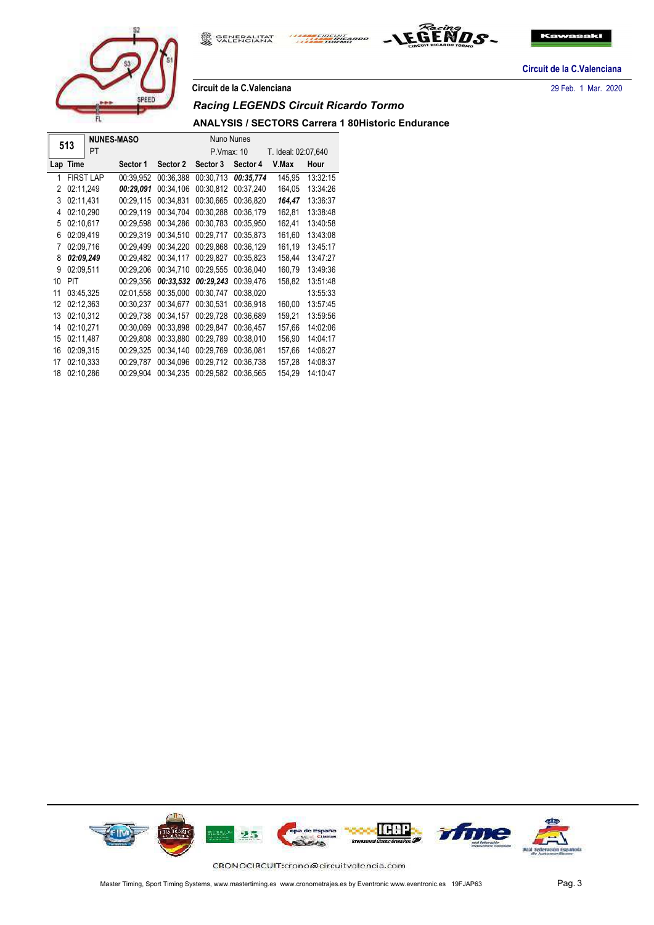

**GENERALITAT**<br>VALENCIANA 戀 THE CIRCUIT



**Circuit de la C.Valenciana**

#### **Circuit de la C.Valenciana** 29 Feb. 1 Mar. 2020

#### *Racing LEGENDS Circuit Ricardo Tormo*

#### **ANALYSIS / SECTORS Carrera 1 80Historic Endurance**

|     | 513       | <b>NUNES-MASO</b> |           |           | Nuno Nunes |           |                     |          |
|-----|-----------|-------------------|-----------|-----------|------------|-----------|---------------------|----------|
|     |           | PT                |           |           | P.Vmax: 10 |           | T. Ideal: 02:07,640 |          |
| Lap | Time      |                   | Sector 1  | Sector 2  | Sector 3   | Sector 4  | V.Max               | Hour     |
| 1   |           | <b>FIRST LAP</b>  | 00:39.952 | 00:36.388 | 00:30.713  | 00:35,774 | 145,95              | 13:32:15 |
| 2   | 02:11.249 |                   | 00:29.091 | 00:34.106 | 00:30.812  | 00:37.240 | 164.05              | 13:34:26 |
| 3   | 02:11,431 |                   | 00:29,115 | 00:34,831 | 00:30,665  | 00:36,820 | 164,47              | 13:36:37 |
| 4   | 02:10,290 |                   | 00:29,119 | 00:34,704 | 00:30,288  | 00:36,179 | 162,81              | 13:38:48 |
| 5   | 02:10.617 |                   | 00:29,598 | 00:34.286 | 00:30,783  | 00:35,950 | 162,41              | 13:40:58 |
| 6   | 02:09,419 |                   | 00:29,319 | 00:34,510 | 00:29,717  | 00:35,873 | 161,60              | 13:43:08 |
| 7   | 02:09,716 |                   | 00:29,499 | 00:34,220 | 00:29.868  | 00:36,129 | 161,19              | 13:45:17 |
| 8   | 02:09.249 |                   | 00:29,482 | 00:34.117 | 00:29.827  | 00:35,823 | 158,44              | 13:47:27 |
| 9   | 02:09.511 |                   | 00:29,206 | 00:34,710 | 00:29,555  | 00:36,040 | 160,79              | 13:49:36 |
| 10  | PIT       |                   | 00:29,356 | 00:33.532 | 00:29,243  | 00:39,476 | 158,82              | 13:51:48 |
| 11  | 03:45.325 |                   | 02:01.558 | 00:35.000 | 00:30.747  | 00:38,020 |                     | 13:55:33 |
| 12  | 02:12,363 |                   | 00:30,237 | 00:34.677 | 00:30,531  | 00:36,918 | 160,00              | 13:57:45 |
| 13  | 02:10,312 |                   | 00:29,738 | 00:34,157 | 00:29,728  | 00:36,689 | 159,21              | 13:59:56 |
| 14  | 02:10.271 |                   | 00:30,069 | 00:33,898 | 00:29.847  | 00:36,457 | 157.66              | 14:02:06 |
| 15  | 02:11,487 |                   | 00:29,808 | 00:33,880 | 00:29,789  | 00:38,010 | 156,90              | 14:04:17 |
| 16  | 02:09.315 |                   | 00:29,325 | 00:34,140 | 00:29.769  | 00:36,081 | 157.66              | 14:06:27 |
| 17  | 02:10.333 |                   | 00:29,787 | 00:34.096 | 00:29.712  | 00:36.738 | 157,28              | 14:08:37 |
| 18  | 02:10,286 |                   | 00:29,904 | 00:34,235 | 00:29,582  | 00:36,565 | 154,29              | 14:10:47 |

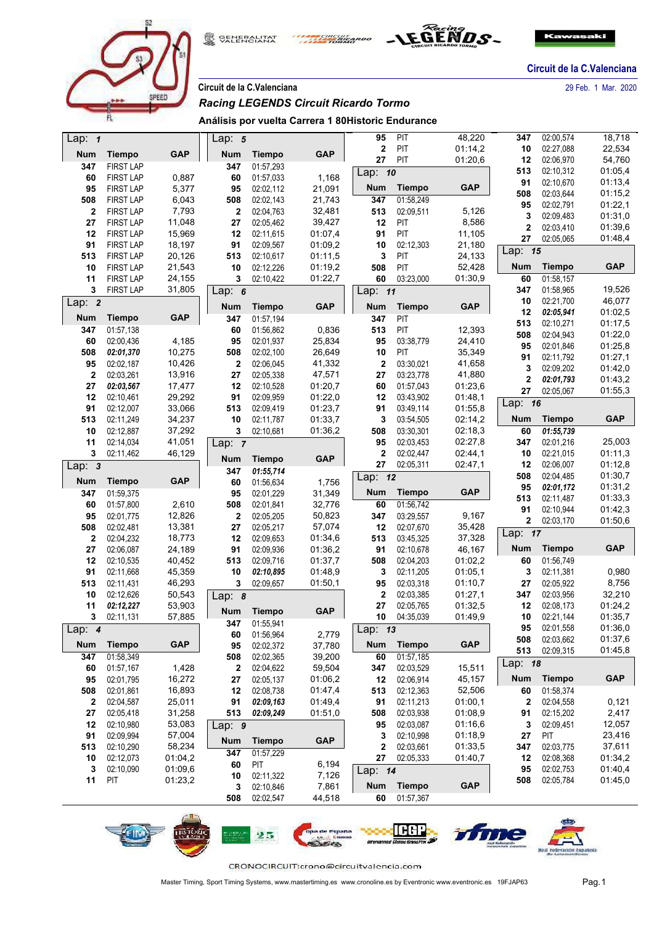

SENERALITAT ERCUIT



**Circuit de la C.Valenciana**

**Circuit de la C.Valenciana** 29 Feb. 1 Mar. 2020

## *Racing LEGENDS Circuit Ricardo Tormo*

**Análisis por vuelta Carrera 1 80Historic Endurance**

| Lap: $1$     |                        |                    | Lap: $5$         |                        |                 | 95                      | PIT                        | 48,220             | 347         | 02:00.574              | 18,718             |  |
|--------------|------------------------|--------------------|------------------|------------------------|-----------------|-------------------------|----------------------------|--------------------|-------------|------------------------|--------------------|--|
| <b>Num</b>   | <b>Tiempo</b>          | <b>GAP</b>         | <b>Num</b>       | <b>Tiempo</b>          | <b>GAP</b>      | $\overline{\mathbf{2}}$ | PIT                        | 01:14,2            | 10          | 02:27,088              | 22,534             |  |
| 347          | <b>FIRST LAP</b>       |                    | 347              | 01:57,293              |                 | 27                      | PIT                        | 01:20,6            | 12          | 02:06,970              | 54,760             |  |
| 60           | <b>FIRST LAP</b>       | 0,887              | 60               | 01:57,033              | 1,168           | Lap: 10                 |                            |                    | 513         | 02:10,312              | 01:05,4            |  |
| 95           | <b>FIRST LAP</b>       | 5,377              | 95               | 02:02,112              | 21,091          | <b>Num</b>              | <b>Tiempo</b>              | <b>GAP</b>         | 91          | 02:10,670<br>02:03,644 | 01:13,4            |  |
| 508          | <b>FIRST LAP</b>       | 6,043              | 508              | 02:02,143              | 21,743          | 347                     | 01:58,249                  |                    | 508<br>95   | 02:02,791              | 01:15,2            |  |
| 2            | <b>FIRST LAP</b>       | 7,793              | 2                | 02:04.763              | 32,481          | 513                     | 02:09,511                  | 5,126              | 3           | 02:09,483              | 01:22,1<br>01:31,0 |  |
| 27           | <b>FIRST LAP</b>       | 11,048             | 27               | 02:05,462              | 39,427          | 12                      | PIT                        | 8,586              | $\mathbf 2$ | 02:03,410              | 01:39,6            |  |
| 12           | <b>FIRST LAP</b>       | 15,969             | 12               | 02:11,615              | 01:07,4         | 91                      | PIT                        | 11,105             | 27          | 02:05,065              | 01:48,4            |  |
| 91           | <b>FIRST LAP</b>       | 18,197             | 91               | 02:09,567              | 01:09,2         | 10                      | 02:12,303                  | 21,180             | Lap: 15     |                        |                    |  |
| 513          | <b>FIRST LAP</b>       | 20,126             | 513              | 02:10,617              | 01:11,5         | 3                       | PIT                        | 24,133             |             |                        |                    |  |
| 10           | <b>FIRST LAP</b>       | 21,543             | 10               | 02:12,226              | 01:19,2         | 508                     | PIT                        | 52,428             | Num         | <b>Tiempo</b>          | <b>GAP</b>         |  |
| 11           | <b>FIRST LAP</b>       | 24,155             | 3                | 02:10,422              | 01:22,7         | 60                      | 03:23,000                  | 01:30,9            | 60          | 01:58,157              |                    |  |
| 3            | <b>FIRST LAP</b>       | 31,805             |                  | Lap: $6$               |                 | Lap: 11                 |                            |                    | 347         | 01:58,965              | 19,526             |  |
| Lap: $2$     |                        |                    | Num              | GAP<br><b>Tiempo</b>   |                 | <b>Num</b>              | <b>Tiempo</b>              | <b>GAP</b>         | 10<br>12    | 02:21,700<br>02:05,941 | 46,077<br>01:02,5  |  |
| <b>Num</b>   | <b>Tiempo</b>          | <b>GAP</b>         | 347              | 01:57,194              |                 | 347                     | PIT                        |                    | 513         | 02:10,271              | 01:17,5            |  |
| 347          | 01:57,138              |                    | 60               | 01:56,862              | 0,836           | 513                     | PIT                        | 12,393             | 508         | 02:04,943              | 01:22,0            |  |
| 60           | 02:00,436              | 4,185              | 95               | 02:01,937              | 25,834          | 95                      | 03:38,779                  | 24,410             | 95          | 02:01,846              | 01:25,8            |  |
| 508          | 02:01,370              | 10,275             | 508              | 02:02,100              | 26,649          | 10                      | PIT                        | 35,349             | 91          | 02:11,792              | 01:27,1            |  |
| 95           | 02:02,187              | 10,426             | 2                | 02:06,045              | 41,332          | $\mathbf{2}$            | 03:30,021                  | 41,658             | 3           | 02:09,202              | 01:42,0            |  |
| $\mathbf{2}$ | 02:03,261              | 13,916             | 27               | 02:05,338              | 47,571          | 27                      | 03:23,778                  | 41,880             | 2           | 02:01,793              | 01:43,2            |  |
| 27           | 02:03,567              | 17,477             | 12               | 02:10,528              | 01:20,7         | 60                      | 01:57,043                  | 01:23.6            | 27          | 02:05,067              | 01:55,3            |  |
| 12           | 02:10,461              | 29,292             | 91               | 02:09.959              | 01:22,0         | 12                      | 03:43,902                  | 01:48,1            | Lap: 16     |                        |                    |  |
| 91           | 02:12,007              | 33,066             | 513              | 02:09,419              | 01:23.7         | 91                      | 03:49,114                  | 01:55,8            |             |                        |                    |  |
| 513          | 02:11,249              | 34,237             | 10               | 02:11,787              | 01:33,7         | 3                       | 03:54,505                  | 02:14,2            | Num         | <b>Tiempo</b>          | <b>GAP</b>         |  |
| 10           | 02:12,887              | 37,292             | 3                | 02:10,681              | 01:36,2         | 508                     | 03:30,301                  | 02:18,3            | 60          | 01:55,739              |                    |  |
| 11<br>3      | 02:14,034              | 41,051<br>46,129   | Lap: $7$         |                        |                 | 95<br>$\mathbf{2}$      | 02:03,453                  | 02:27,8            | 347<br>10   | 02:01,216              | 25,003<br>01:11,3  |  |
|              | 02:11,462              |                    | Num              | <b>Tiempo</b>          | <b>GAP</b>      | 27                      | 02:02,447<br>02:05,311     | 02:44,1<br>02:47,1 | 12          | 02:21,015<br>02:06,007 | 01:12,8            |  |
|              |                        |                    |                  |                        |                 |                         |                            |                    |             |                        |                    |  |
| Lap: 3       |                        |                    | 347              | 01:55,714              |                 |                         |                            |                    |             |                        |                    |  |
| <b>Num</b>   | <b>Tiempo</b>          | <b>GAP</b>         | 60               | 01:56,634              | 1,756           | Lap: 12                 |                            |                    | 508         | 02:04,485              | 01:30,7            |  |
| 347          | 01:59,375              |                    | 95               | 02:01,229              | 31,349          | <b>Num</b>              | <b>Tiempo</b>              | <b>GAP</b>         | 95          | 02:01,172              | 01:31,2            |  |
| 60           | 01:57,800              | 2,610              | 508              | 02:01,841              | 32,776          | 60                      | 01:56,742                  |                    | 513<br>91   | 02:11,487              | 01:33,3            |  |
| 95           | 02:01,775              | 12,826             | $\boldsymbol{2}$ | 02:05,205              | 50,823          | 347                     | 03:29,557                  | 9,167              | 2           | 02:10,944              | 01:42,3<br>01:50,6 |  |
| 508          | 02:02,481              | 13,381             | 27               | 02:05,217              | 57,074          | 12                      | 02:07,670                  | 35,428             |             | 02:03,170              |                    |  |
| $\mathbf{2}$ | 02:04,232              | 18,773             | 12               | 02:09,653              | 01:34,6         | 513                     | 03:45,325                  | 37,328             | Lap: 17     |                        |                    |  |
| 27           | 02:06,087              | 24,189             | 91               | 02:09,936              | 01:36,2         | 91                      | 02:10,678                  | 46,167             | <b>Num</b>  | <b>Tiempo</b>          | <b>GAP</b>         |  |
| 12           | 02:10,535              | 40,452             | 513              | 02:09,716              | 01:37,7         | 508                     | 02:04,203                  | 01:02,2            | 60          | 01:56,749              |                    |  |
| 91           | 02:11,668              | 45,359             | 10               | 02:10,895              | 01:48,9         | 3                       | 02:11,205                  | 01:05,1            | 3           | 02:11,381              | 0,980              |  |
| 513          | 02:11,431              | 46,293             | 3                | 02:09,657              | 01:50,1         | 95                      | 02:03,318                  | 01:10,7            | 27          | 02:05,922              | 8,756              |  |
| 10           | 02:12,626              | 50,543             | Lap: $8$         |                        |                 | $\overline{\mathbf{2}}$ | 02:03,385                  | 01:27,1            | 347         | 02:03,956              | 32,210             |  |
| 11           | 02:12,227              | 53,903             | Num              | <b>Tiempo</b>          | <b>GAP</b>      | 27                      | 02:05,765                  | 01:32,5            | 12          | 02:08,173              | 01:24,2            |  |
| 3            | 02:11.131              | 57,885             | $\overline{347}$ | 01:55,941              |                 | 10                      | 04:35,039                  | 01:49,9            | 10          | 02:21,144              | 01:35,7            |  |
| Lap: $4$     |                        |                    | 60               | 01:56,964              | 2,779           | Lap: 13                 |                            |                    | 95<br>508   | 02:01,558<br>02:03,662 | 01:36,0<br>01:37,6 |  |
| <b>Num</b>   | <b>Tiempo</b>          | <b>GAP</b>         | 95               | 02:02,372              | 37,780          | <b>Num</b>              | <b>Tiempo</b>              | <b>GAP</b>         | 513         | 02:09,315              | 01:45,8            |  |
| 347          | 01:58,349              |                    | 508              | 02:02,365              | 39,200          | 60                      | 01:57,185                  |                    |             |                        |                    |  |
| 60           | 01:57,167              | 1,428              | $\mathbf{2}$     | 02:04,622              | 59,504          | 347                     | 02:03,529                  | 15,511             | Lap: 18     |                        |                    |  |
| 95           | 02:01,795              | 16,272             | 27               | 02:05,137              | 01:06,2         | 12                      | 02:06,914                  | 45,157             | <b>Num</b>  | <b>Tiempo</b>          | <b>GAP</b>         |  |
| 508          | 02:01,861              | 16,893             | 12               | 02:08,738              | 01:47,4         | 513                     | 02:12,363                  | 52,506             | 60          | 01:58,374              |                    |  |
| $\mathbf{2}$ | 02:04,587              | 25,011             | 91               | 02:09,163              | 01:49,4         | 91                      | 02:11,213                  | 01:00,1            | 2           | 02:04,558              | 0,121              |  |
| 27           | 02:05,418              | 31,258             | 513              | 02:09,249              | 01:51,0         | 508                     | 02:03,938                  | 01:08,9            | 91          | 02:15,202              | 2,417              |  |
| 12<br>91     | 02:10,980              | 53,083             | Lap: $9$         |                        |                 | 95<br>3                 | 02:03,087                  | 01:16,6            | 3           | 02:09,451              | 12,057             |  |
| 513          | 02:09,994<br>02:10,290 | 57,004             | <b>Num</b>       | <b>Tiempo</b>          | <b>GAP</b>      | 2                       | 02:10,998<br>02:03,661     | 01:18,9<br>01:33,5 | 27<br>347   | PIT<br>02:03,775       | 23,416             |  |
| 10           | 02:12,073              | 58,234             | 347              | 01:57,229              |                 | 27                      | 02:05,333                  | 01:40,7            | 12          | 02:08,368              | 37,611             |  |
| 3            | 02:10,090              | 01:04,2<br>01:09,6 | 60               | PIT                    | 6,194           |                         |                            |                    | 95          | 02:02,753              | 01:34,2<br>01:40,4 |  |
| 11           | PIT                    | 01:23,2            | 10               | 02:11,322              | 7,126           | Lap: 14                 |                            |                    | 508         | 02:05,784              | 01:45,0            |  |
|              |                        |                    | 3<br>508         | 02:10,846<br>02:02,547 | 7,861<br>44,518 | <b>Num</b><br>60        | <b>Tiempo</b><br>01:57,367 | <b>GAP</b>         |             |                        |                    |  |

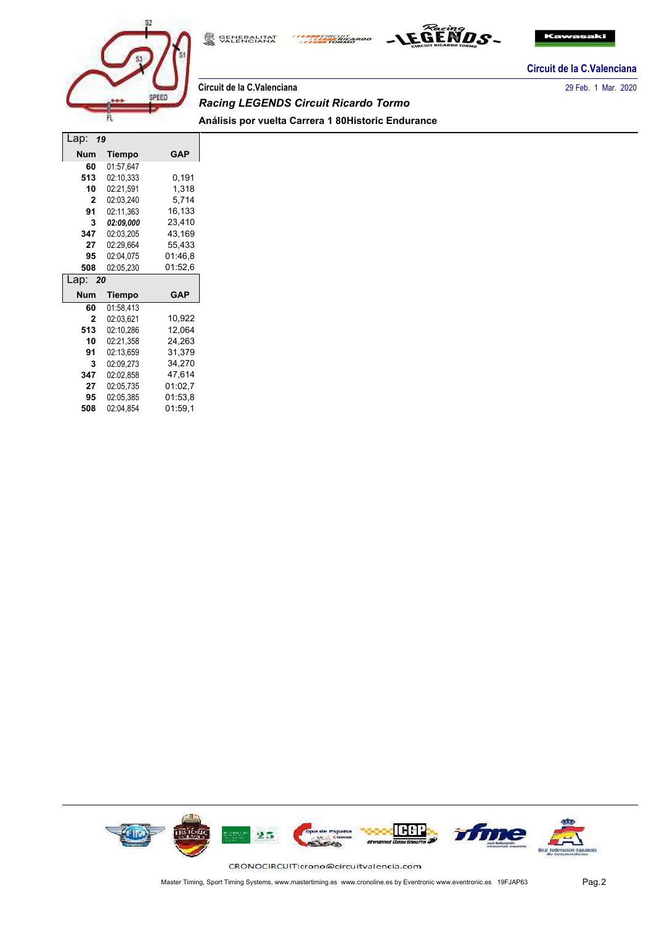





**Circuit de la C.Valenciana**

# **Circuit de la C.Valenciana** 29 Feb. 1 Mar. 2020 *Racing LEGENDS Circuit Ricardo Tormo* **Análisis por vuelta Carrera 1 80Historic Endurance**

| Lap:<br>19   |           |            |  |  |  |  |  |  |  |
|--------------|-----------|------------|--|--|--|--|--|--|--|
| <b>Num</b>   | Tiempo    | GAP        |  |  |  |  |  |  |  |
| 60           | 01:57,647 |            |  |  |  |  |  |  |  |
| 513          | 02:10,333 | 0.191      |  |  |  |  |  |  |  |
| 10           | 02:21,591 | 1,318      |  |  |  |  |  |  |  |
| 2            | 02:03,240 | 5,714      |  |  |  |  |  |  |  |
| 91           | 02:11,363 | 16,133     |  |  |  |  |  |  |  |
| 3            | 02:09.000 | 23,410     |  |  |  |  |  |  |  |
| 347          | 02:03,205 | 43,169     |  |  |  |  |  |  |  |
| 27           | 02:29,664 | 55,433     |  |  |  |  |  |  |  |
| 95           | 02:04,075 | 01:46.8    |  |  |  |  |  |  |  |
| 508          | 02:05,230 | 01:52,6    |  |  |  |  |  |  |  |
| Lap:<br>20   |           |            |  |  |  |  |  |  |  |
|              |           |            |  |  |  |  |  |  |  |
| <b>Num</b>   | Tiempo    | <b>GAP</b> |  |  |  |  |  |  |  |
| 60           | 01:58.413 |            |  |  |  |  |  |  |  |
| $\mathbf{2}$ | 02:03.621 | 10,922     |  |  |  |  |  |  |  |
| 513          | 02:10,286 | 12,064     |  |  |  |  |  |  |  |
| 10           | 02:21,358 | 24,263     |  |  |  |  |  |  |  |
| 91           | 02:13,659 | 31,379     |  |  |  |  |  |  |  |
| 3            | 02:09.273 | 34,270     |  |  |  |  |  |  |  |
| 347          | 02:02,858 | 47,614     |  |  |  |  |  |  |  |
| 27           | 02:05,735 | 01:02,7    |  |  |  |  |  |  |  |
| 95           | 02:05,385 | 01:53.8    |  |  |  |  |  |  |  |